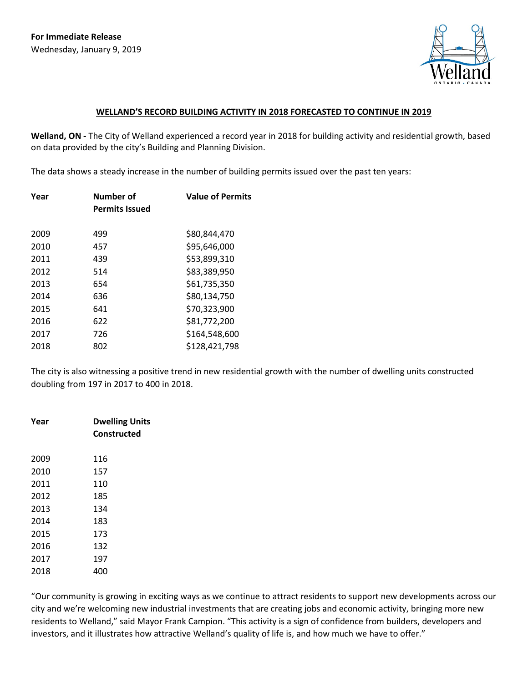

## **WELLAND'S RECORD BUILDING ACTIVITY IN 2018 FORECASTED TO CONTINUE IN 2019**

**Welland, ON -** The City of Welland experienced a record year in 2018 for building activity and residential growth, based on data provided by the city's Building and Planning Division.

The data shows a steady increase in the number of building permits issued over the past ten years:

| Year | Number of<br><b>Permits Issued</b> | <b>Value of Permits</b> |
|------|------------------------------------|-------------------------|
| 2009 | 499                                | \$80,844,470            |
| 2010 | 457                                | \$95,646,000            |
| 2011 | 439                                | \$53,899,310            |
| 2012 | 514                                | \$83,389,950            |
| 2013 | 654                                | \$61,735,350            |
| 2014 | 636                                | \$80,134,750            |
| 2015 | 641                                | \$70,323,900            |
| 2016 | 622                                | \$81,772,200            |
| 2017 | 726                                | \$164,548,600           |
| 2018 | 802                                | \$128,421,798           |

The city is also witnessing a positive trend in new residential growth with the number of dwelling units constructed doubling from 197 in 2017 to 400 in 2018.

| Year | <b>Dwelling Units</b><br>Constructed |
|------|--------------------------------------|
| 2009 | 116                                  |
| 2010 | 157                                  |
| 2011 | 110                                  |
| 2012 | 185                                  |
| 2013 | 134                                  |
| 2014 | 183                                  |
| 2015 | 173                                  |
| 2016 | 132                                  |
| 2017 | 197                                  |
| 2018 | 400                                  |

"Our community is growing in exciting ways as we continue to attract residents to support new developments across our city and we're welcoming new industrial investments that are creating jobs and economic activity, bringing more new residents to Welland," said Mayor Frank Campion. "This activity is a sign of confidence from builders, developers and investors, and it illustrates how attractive Welland's quality of life is, and how much we have to offer."